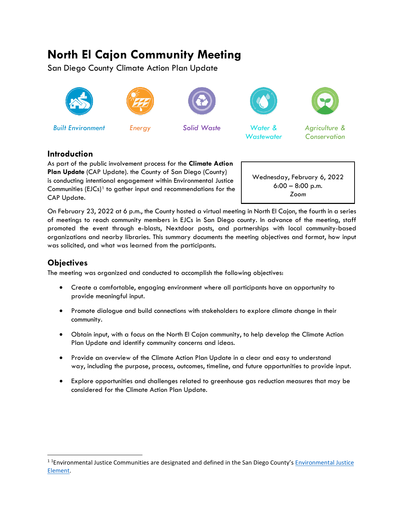# **North El Cajon Community Meeting**

San Diego County Climate Action Plan Update





*Built Environment Energy Solid Waste Water &* 







*Wastewater*

*Agriculture & Conservation*

## **Introduction**

As part of the public involvement process for the **Climate Action Plan Update** (CAP Update). the County of San Diego (County) is conducting intentional engagement within Environmental Justice Communities  $(ELCs)^1$  $(ELCs)^1$  to gather input and recommendations for the CAP Update.

Wednesday, February 6, 2022 6:00 – 8:00 p.m. *Zoom*

On February 23, 2022 at 6 p.m., the County hosted a virtual meeting in North El Cajon, the fourth in a series of meetings to reach community members in EJCs in San Diego county. In advance of the meeting, staff promoted the event through e-blasts, Nextdoor posts, and partnerships with local community-based organizations and nearby libraries. This summary documents the meeting objectives and format, how input was solicited, and what was learned from the participants.

## **Objectives**

The meeting was organized and conducted to accomplish the following objectives:

- Create a comfortable, engaging environment where all participants have an opportunity to provide meaningful input.
- Promote dialogue and build connections with stakeholders to explore climate change in their community.
- Obtain input, with a focus on the North El Cajon community, to help develop the Climate Action Plan Update and identify community concerns and ideas.
- Provide an overview of the Climate Action Plan Update in a clear and easy to understand way, including the purpose, process, outcomes, timeline, and future opportunities to provide input.
- Explore opportunities and challenges related to greenhouse gas reduction measures that may be considered for the Climate Action Plan Update.

<span id="page-0-0"></span><sup>&</sup>lt;sup>11</sup> Environmental Justice Communities are designated and defined in the San Diego County's Environmental Justice [Element.](https://www.sandiegocounty.gov/content/dam/sdc/pds/gpupdate/09-Environmental-Justice-Aug2021.pdf)